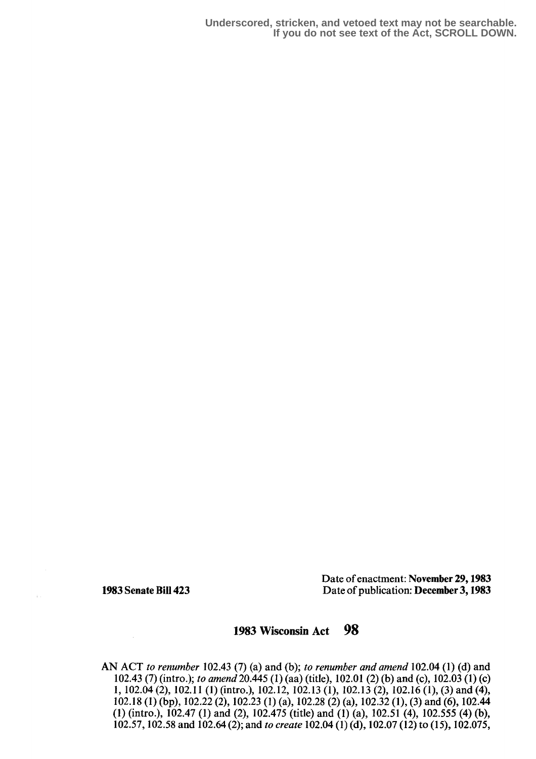**Underscored, stricken, and vetoed text may not be searchable. If you do not see text of the Act, SCROLL DOWN.**

 $\mathcal{L}$  .

Date of enactment: November 29, 1983 1983 Senate Bill 423 Date of publication: December 3,1983

# 1983 Wisconsin Act 9g

AN ACT to renumber 102.43 (7) (a) and (b); to renumber and amend 102.04 (1) (d) and 102.43 (7) (intro.); to amend 20.445 (1) (aa) (title), 102.01 (2) (b) and (c),  $102.03(1)$  (c) 1, 102.04 (2), 102 .11 (1) (intro.), 102 .12, 102.13 (1), 102 .13 (2), 102.16 (1), (3) and (4), 102 .18 (1) (bp), 102.22 (2), 102 .23 (1) (a), 102.28 (2) (a), 102.32 (1), (3) and (6), 102.44 (1) (intro .), 102 .47 (1) and (2), 102 .475 (title) and (1) (a), 102 .51 (4), 102.555 (4) (b), 102.57, 102.58 and 102.64 (2) ; and to create 102 .04 (1) (d),102 .07 (12) to (15), 102.075,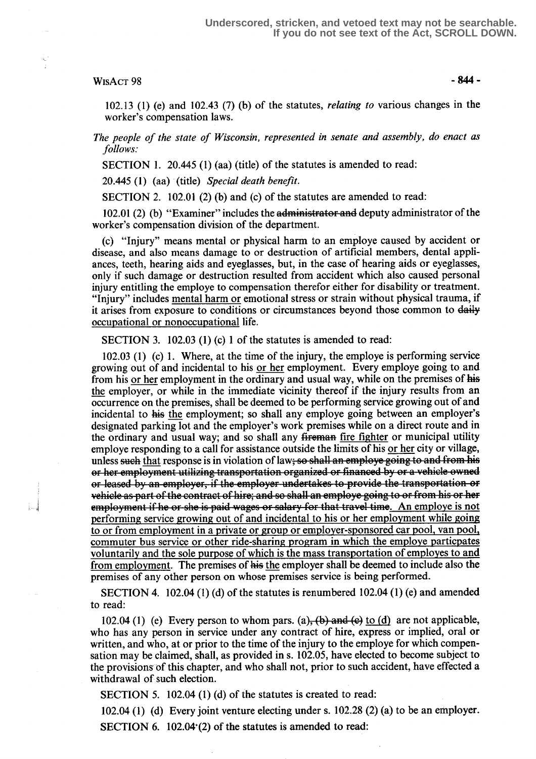#### $WISACT 98 - 844 -$

102.13 (1) (e) and 102.43 (7) (b) of the statutes, relating to various changes in the worker's compensation laws.

The people of the state of Wisconsin, represented in senate and assembly, do enact as follows:

SECTION 1. 20.445 (1) (aa) (title) of the statutes is amended to read:

20.445 (1) (aa) (title) Special death benefit.

SECTION 2. 102.01 (2) (b) and (c) of the statutes are amended to read:

102.01 (2) (b) "Examiner" includes the administrator and deputy administrator of the worker's compensation division of the department.

(c) "Injury" means mental or physical harm to an employe caused by accident or disease, and also means damage to or destruction of artificial members, dental appliances, teeth, hearing aids and eyeglasses, but, in the case of hearing aids or eyeglasses, only if such damage or destruction resulted from accident which also caused personal injury entitling the employe to compensation therefor either for disability or treatment. "Injury" includes mental harm or emotional stress or strain without physical trauma, if it arises from exposure to conditions or circumstances beyond those common to daily occupational or nonoccupational life.

SECTION 3. 102.03 (1) (c) 1 of the statutes is amended to read:

 $102.03$  (1) (c) 1. Where, at the time of the injury, the employe is performing service growing out of and incidental to his or her employment. Every employe going to and from his or her employment in the ordinary and usual way, while on the premises of his the employer, or while in the immediate vicinity thereof if the injury results from an occurrence on the premises, shall be deemed to be performing service growing out of and incidental to his the employment; so shall any employe going between an employer's designated parking lot and the employer's work premises while on a direct route and in the ordinary and usual way; and so shall any fireman fire fighter or municipal utility employe responding to a call for assistance outside the limits of his or her city or village, unless <del>such</del> that response is in violation of law<del>; so shall an employe going to and from his</del><br>or her employment utilizing transportation organized or financed by or a vehicle owned vehicle as part of the contract of hire; and so shall an employe going to or from his or her<br>employment if he or she is paid wages or salary for that travel time. An employe is not or her employment utilizing transportation organized or financed by or a venicle owned<br>or leased by an employer, if the employer undertakes to provide the transportation or<br>vehicle as part of the contract of hire; and so s to or from employment in a private or group or employer-sponsored car pool, van pool, commuter bus service or other ride-sharing program in which the employe particpates voluntarily and the sole purpose of which is the mass transportation of employes to and from employment. The premises of his the employer shall be deemed to include also the premises of any other person on whose premises service is being performed.

SECTION 4. 102.04 (1) (d) of the statutes is renumbered  $102.04$  (1) (e) and amended to read:

102.04 (1) (e) Every person to whom pars. (a),  $(b)$  and  $(c)$  to  $(d)$  are not applicable, who has any person in service under any contract of hire, express or implied, oral or written, and who, at or prior to the time of the injury to the employe for which compensation may be claimed, shall, as provided in s. 102.05, have elected to become subject to the provisions `of this chapter, and who shall not, prior to such accident, have effected a withdrawal of such election.

SECTION 5. 102.04 (1) (d) of the statutes is created to read:

102.04 (1) (d) Every joint venture electing under s. 102.28 (2) (a) to be an employer. SECTION 6. 102.04 $(2)$  of the statutes is amended to read: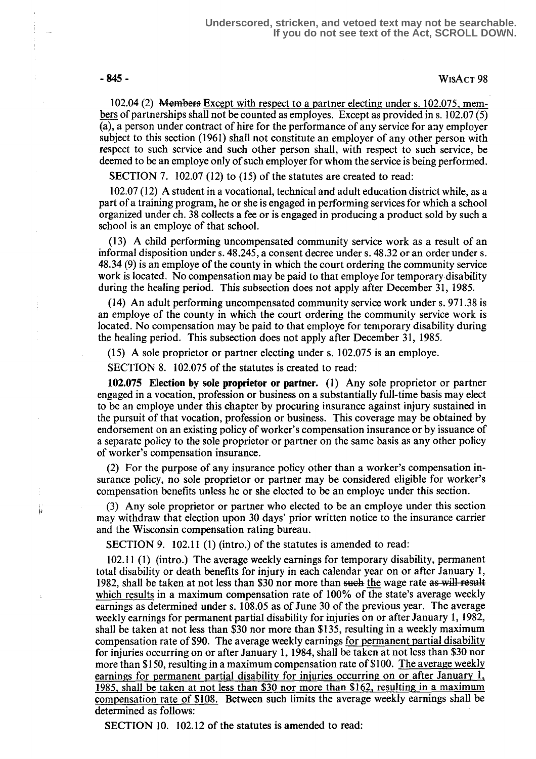j,

## -845- WisAcT 98

102.04 (2) Membefs Except with respect to a partner electing under s. 102.075, members of partnerships shall not be counted as employes. Except as provided in s. 102.07 (5) (a), a person under contract of hire for the performance of any service for any employer subject to this section (1961) shall not constitute an employer of any other person with respect to such service and such other person shall, with respect to such service, be deemed to be an employe only of such employer for whom the service is being performed.

SECTION 7. 102.07 (12) to (15) of the statutes are created to read:

102.07 (12) A student in a vocational, technical and adult education district while, as a part of a training program, he or she is engaged in performing services for which a school organized under ch. 38 collects a fee or is engaged in producing a product sold by such a school is an employe of that school.

(13) A child performing uncompensated community service work as a result of an informal disposition under s. 48.245, a consent decree under s. 48.32 or an order under s. 48.34 (9) is an employe of the county in which the court ordering the community service work is located. No compensation may be paid to that employe for temporary disability during the healing period. This subsection does not apply after December 31, 1985.

(14) An adult performing uncompensated community service work under s. 971 .38 is an employe of the county in which the court ordering the community service work is located. No compensation may be paid to that employe for temporary disability during the healing period. This subsection does not apply after December 31, 1985.

(15) A sole proprietor or partner electing under s. 102.075 is an employe.

SECTION 8. 102.075 of the statutes is created to read:

102.075 Election by sole proprietor or partner. (1) Any sole proprietor or partner engaged in a vocation, profession or business on a substantially full-time basis may elect to be an employe under this chapter by procuring insurance against injury sustained in the pursuit of that vocation, profession or business. This coverage may be obtained by endorsement on an existing policy of worker's compensation insurance or by issuance of a separate policy to the sole proprietor or partner on the same basis as any other policy of worker's compensation insurance.

(2) For the purpose of any insurance policy other than a worker's compensation insurance policy, no sole proprietor or partner may be considered eligible for worker's compensation benefits unless he or she elected to be an employe under this section.

(3) Any sole proprietor or partner who elected to be an employe under this section may withdraw that election upon 30 days' prior written notice to the insurance carrier and the Wisconsin compensation rating bureau.

SECTION 9. 102.11 (1) (intro.) of the statutes is amended to read:

102.11 (1) (intro .) The average weekly earnings for temporary disability, permanent total disability or death benefits for injury in each calendar year on or after January 1, 1982, shall be taken at not less than \$30 nor more than such the wage rate as will result which results in a maximum compensation rate of 100% of the state's average weekly earnings as determined under s. 108.05 as of June 30 of the previous year. The average weekly earnings for permanent partial disability for injuries on or after January 1, 1982, shall be taken at not less than \$30 nor more than \$135, resulting in a weekly maximum compensation rate of \$90. The average weekly earnings for permanent partial disability for injuries occurring on or after January l, 1984, shall be taken at not less than \$30 nor more than \$150, resulting in a maximum compensation rate of \$100. The average weekly earnings for permanent partial disability for injuries occurring on or after January 1, 1985 shall be taken at not less than \$30 nor more than \$162, resulting in a maximum compensation rate of \$108. Between such limits the average weekly earnings shall be determined as follows:

SECTION 10. 102.12 of the statutes is amended to read: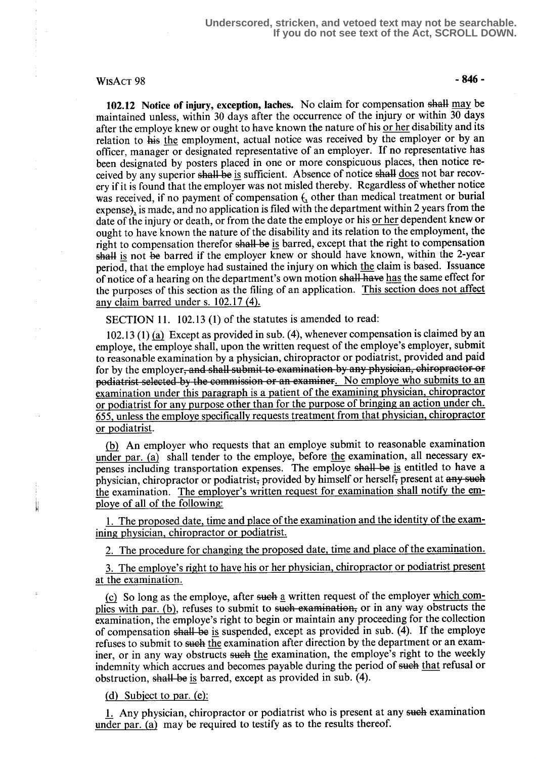### $WisACT 98$  - 846 -

102.12 Notice of injury, exception, laches. No claim for compensation shall may be maintained unless, within 30 days after the occurrence of the injury or within 30 days after the employe knew or ought to have known the nature of his or her disability and its relation to his the employment, actual notice was received by the employer or by an officer, manager or designated representative of an employer. If no representative has been designated by posters placed in one or more conspicuous places, then notice received by any superior shall be is sufficient. Absence of notice shall does not bar recovery if it is found that the employer was not misled thereby. Regardless of whether notice was received, if no payment of compensation  $f_1$  other than medical treatment or burial expense), is made, and no application is filed with the department within 2 years from the date of the injury or death, or from the date the employe or his or her dependent knew or ought to have known the nature of the disability and its relation to the employment, the right to compensation therefor shall be is barred, except that the right to compensation shall is not be barred if the employer knew or should have known, within the 2-year period, that the employe had sustained the injury on which the claim is based. Issuance of notice of a hearing on the department's own motion shall have has the same effect for the purposes of this section as the filing of an application. This section does not affect any claim barred under s. 102.17 (4).

SECTION 11. 102.13 (1) of the statutes is amended to read:

102.13 (1) (a) Except as provided in sub. (4), whenever compensation is claimed by an employe, the employe shall, upon the written request of the employe's employer, submit to reasonable examination by a physician, chiropractor or podiatrist, provided and paid to reasonable examination by a physician, chiropractor or podiatrist, provided and part for by the employer, and shall submit to examination by any physician, chiropractor podiatrict selected by the commission or an examin diatrist selected by the commission or an examiner. No employe who submits to an examination under this paragraph is a patient of the examining physician, chiropractor or podiatrist for any purpose other than for the purpose of bringing an action under ch. 655 unless the employe specifically requests treatment from that physician chiropractor or podiatrist.

An employer who requests that an employe submit to reasonable examination under par. (a) shall tender to the employe, before the examination, all necessary expenses including transportation expenses. The employe shall be is entitled to have a physician, chiropractor or podiatrist, provided by himself or herself, present at any such the examination. The employer's written request for examination shall notify the employe of all of the following:

1. The proposed date, time and place of the examination and the identity of the examining physician, chiropractor or podiatrist.

2. The procedure for changing the proposed date, time and place of the examination.

3. The employe's right to have his or her physician, chiropractor or podiatrist present at the examination .

(c) So long as the employe, after such a written request of the employer which complies with par. (b), refuses to submit to such examination, or in any way obstructs the examination, the employe's right to begin or maintain any proceeding for the collection of compensation shall be is suspended, except as provided in sub. (4). If the employe refuses to submit to such the examination after direction by the department or an examiner, or in any way obstructs such the examination, the employe's right to the weekly indemnity which accrues and becomes payable during the period of such that refusal or obstruction, shall be is barred, except as provided in sub. (4).

#### (d) Subject to par.  $(e)$ :

1. Any physician, chiropractor or podiatrist who is present at any such examination under par. (a) may be required to testify as to the results thereof.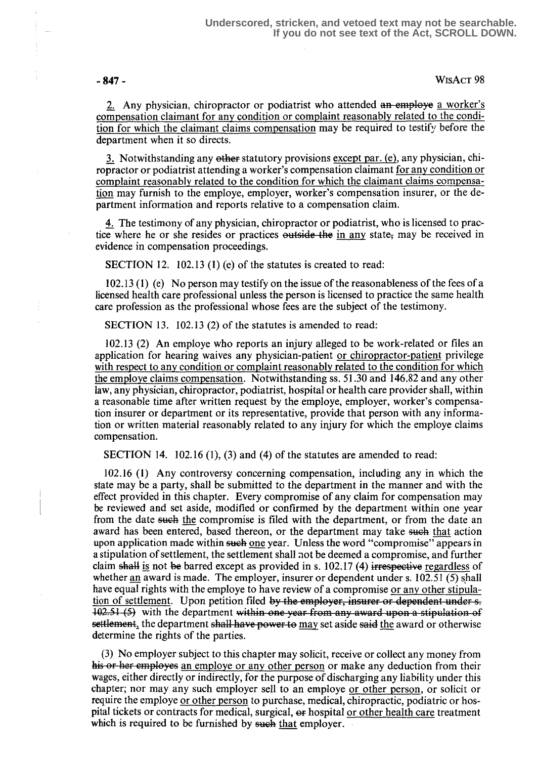$-847 -$  WisAct 98

2. Any physician, chiropractor or podiatrist who attended an employe a worker's compensation claimant for any condition or complaint reasonably related to the condition for which the claimant claims compensation may be required to testify before the department when it so directs.

3. Notwithstanding any other statutory provisions except par.  $(e)$ , any physician, chiropractor or podiatrist attending a worker's compensation claimant for any condition or complaint reasonably related to the condition for which the claimant claims compensation may furnish to the employe, employer, worker's compensation insurer, or the department information and reports relative to a compensation claim.

4. The testimony of any physician, chiropractor or podiatrist, who is licensed to prac-4. The testimony of any physician, chiropractor or podiatrist, who is licensed to practice where he or she resides or practices outside the in any state, may be received in evidence in compensation proceedings. evidence in compensation proceedings.

SECTION 12. 102.13 (1) (e) of the statutes is created to read:

102.13 (1) (e) No person may testify on the issue of the reasonableness of the fees of a licensed health care professional unless the person is licensed to practice the same health care profession as the professional whose fees are the subject of the testimony.

SECTION 13. 102.13 (2) of the statutes is amended to read:

102.13 (2) An employe who reports an injury alleged to be work-related or files an application for hearing waives any physician-patient or chiropractor-patient privilege with respect to any condition or complaint reasonably related to the condition for which the employe claims compensation. Notwithstanding ss. 51.30 and 146.82 and any other law, any physician, chiropractor, podiatrist, hospital or health care provider shall, within a reasonable time after written request by the employe, employer, worker's compensation insurer or department or its representative, provide that person with any information or written material reasonably related to any injury for which the employe claims compensation.

SECTION 14. 102.16 (1), (3) and (4) of the statutes are amended to read:

102.16 (1) Any controversy concerning compensation, including any in which the state may be a party, shall be submitted to the department in the manner and with the effect provided in this chapter. Every compromise of any claim for compensation may be reviewed and set aside, modified or confirmed by the department within one year from the date such the compromise is filed with the department, or from the date an award has been entered, based thereon, or the department may take such that action upon application made within such one year. Unless the word "compromise" appears in a stipulation of settlement, the settlement shall not be deemed a compromise, and further claim shall is not be barred except as provided in s.  $102.17$  (4) irrespective regardless of whether an award is made. The employer, insurer or dependent under s. 102.51 (5) shall have equal rights with the employe to have review of a compromise or any other stipulation of settlement. Upon petition filed by the employer, insurer or dependent under s.  $\frac{102.51}{2}$  with the department within one year from any award upon a stipulation of settlement, the department shall have power to may set aside said the award or otherwise determine the rights of the parties.

(3) No employer subject to this chapter may solicit, receive or collect any money from his or her employes an employe or any other person or make any deduction from their wages, either directly or indirectly, for the purpose of discharging any liability under this chapter; nor may any such employer sell to an employe or other person , or solicit or require the employe or other person to purchase, medical, chiropractic, podiatric or hospital tickets or contracts for medical, surgical, or hospital or other health care treatment which is required to be furnished by such that employer.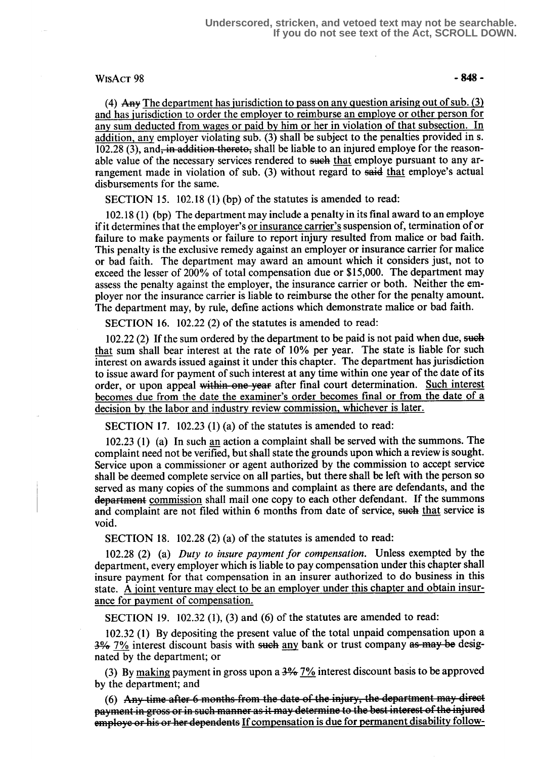#### $WisACT 98$  - 848 -

(4) Any The department has jurisdiction to pass on any question arising out of sub.  $(3)$ and has jurisdiction to order the employer to reimburse an employe or other person for any sum deducted from wages or paid by him or her in violation of that subsection. In addition, any employer violating sub. (3) shall be subject to the penalties provided in s.  $102.28$  (3), and, in addition thereto, shall be liable to an injured employe for the reasonable value of the necessary services rendered to such that employe pursuant to any arrangement made in violation of sub.  $(3)$  without regard to said that employe's actual disbursements for the same.

SECTION 15. 102.18 (1) (bp) of the statutes is amended to read:

102.18 (1) (bp) The department may include a penalty in its final award to an employe if it determines that the employer's or insurance carrier's suspension of, termination of or failure to make payments or failure to report injury resulted from malice or bad faith. This penalty is the exclusive remedy against an employer or insurance carrier for malice or bad faith. The department may award an amount which it considers just, not to exceed the lesser of 200% of total compensation due or \$15,000. The department may assess the penalty against the employer, the insurance carrier or both. Neither the employer nor the insurance carrier is liable to reimburse the other for the penalty amount. The department may, by rule, define actions which demonstrate malice or bad faith.

SECTION 16. 102.22 (2) of the statutes is amended to read:

 $102.22$  (2) If the sum ordered by the department to be paid is not paid when due, such that sum shall bear interest at the rate of 10% per year. The state is liable for such interest on awards issued against it under this chapter . The department has jurisdiction to issue award for payment of such interest at any time within one year of the date of its order, or upon appeal within one year after final court determination. Such interest becomes due from the date the examiner's order becomes final or from the date of a decision by the labor and industry review commission, whichever is later.

SECTION 17. 102.23 (1) (a) of the statutes is amended to read:

102.23 (1) (a) In such an action a complaint shall be served with the summons. The complaint need not be verified, but shall state the grounds upon which a review is sought. Service upon a commissioner or agent authorized by the commission to accept service shall be deemed complete service on all parties, but there shall be left with the person so served as many copies of the summons and complaint as there are defendants, and the department commission shall mail one copy to each other defendant. If the summons and complaint are not filed within 6 months from date of service, such that service is void.

SECTION 18. 102.28  $(2)$  (a) of the statutes is amended to read:

102.28 (2) (a) Duty to insure payment for compensation. Unless exempted by the department, every employer which is liable to pay compensation under this chapter shall insure payment for that compensation in an insurer authorized to do business in this state. A joint venture may elect to be an employer under this chapter and obtain insurance for payment of compensation.

SECTION 19. 102.32 (1), (3) and (6) of the statutes are amended to read:

102.32 (1) By depositing the present value of the total unpaid compensation upon a  $3\%$  7% interest discount basis with such any bank or trust company as may be designated by the department; or

(3) By making payment in gross upon a  $3\frac{4}{6}$  7% interest discount basis to be approved by the department; and

(6) Any time after 6 months from the date of the injury, the department may direct (e) This time that is meaning from the time of the injury, the style property of the injured employe or his or her dependents If compensation is due for permanent disability follow-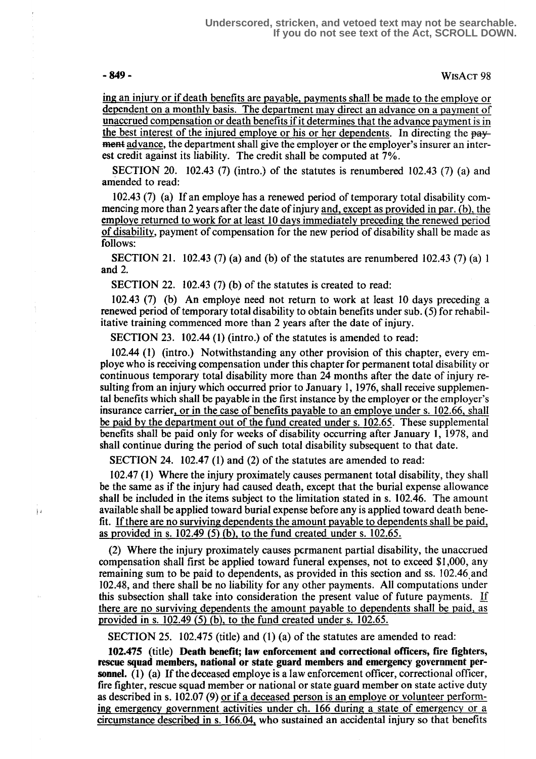$\frac{1}{2}$  ii

- 849 - WisAcT 98

ing an injury or if death benefits are payable, payments shall be made to the employe or dependent on a monthly basis. The department may direct an advance on a payment of unaccrued compensation or death benefits if it determines that the advance payment is in the best interest of the injured employe or his or her dependents. In directing the pay**ment** advance, the department shall give the employer or the employer's insurer an interest credit against its liability. The credit shall be computed at 7% .

SECTION 20. 102.43 (7) (intro.) of the statutes is renumbered 102.43 (7) (a) and amended to read:

of disability , payment of compensation for the new period of disability shall be made as follows: 102 .43 (7) (a) If an employe has a renewed period of temporary total disability commencing more than 2 years after the date of injury <u>and, except as provided in par. (b), the</u><br>employe returned to work for at least 10 days immediately preceding the renewed period

SECTION 21. 102.43 (7) (a) and (b) of the statutes are renumbered 102.43 (7) (a) 1 and 2.

SECTION 22. 102.43 (7) (b) of the statutes is created to read:

102 .43 (7) (b) An employe need not return to work at least 10 days preceding a renewed period of temporary total disability to obtain benefits under sub. (5) for rehabilitative training commenced more than 2 years after the date of injury .

SECTION 23. 102.44 (1) (intro.) of the statutes is amended to read:

102.44 (1) (intro .) Notwithstanding any other provision of this chapter, every employe who is receiving compensation under this chapter for permanent total disability or continuous temporary total disability more than 24 months after the date of injury resulting from an injury which occurred prior to January 1, 1976, shall receive supplemental benefits which shall be payable in the first instance by the employer or the employer's insurance carrier, or in the case of benefits payable to an employe under s. 102.66, shall be paid by the department out of the fund created under s. 102.65. These supplemental benefits shall be paid only for weeks of disability occurring after January 1, 1978, and shall continue during the period of such total disability subsequent to that date.

SECTION 24. 102.47 (1) and (2) of the statutes are amended to read:

102.47 (1) Where the injury proximately causes permanent total disability, they shall be the same as if the injury had caused death, except that the burial expense allowance shall be included in the items subject to the limitation stated in s. 102.46. The amount available shall be applied toward burial expense before any is applied toward death benefit. If there are no surviving dependents the amount payable to dependents shall be paid, as provided in s.  $102.49$  (5) (b), to the fund created under s.  $102.65$ .

(2) Where the injury proximately causes permanent partial disability, the unaccrued compensation shall first be applied toward funeral expenses, not to exceed \$1,000, any remaining sum to be paid to dependents, as provided in this section and ss. 102.46 and 102 .48, and there shall be no liability for any other payments . All computations under this subsection shall take into consideration the present value of future payments. If there are no surviving dependents the amount payable to dependents shall be paid, as provided in s.  $102.49$  (5) (b), to the fund created under s.  $102.65$ .

SECTION 25. 102.475 (title) and (1) (a) of the statutes are amended to read:

102.475 (title) Death benefit; law enforcement and correctional officers, fire fighters, rescue squad members, national or state guard members and emergency government personnel. (1) (a) If the deceased employe is a law enforcement officer, correctional officer, fire fighter, rescue squad member or national or state guard member on state active duty as described in s. 102.07 (9) or if a deceased person is an employe or volunteer performing emergency government activities under ch. 166 during a state of emergency or a circumstance described in s. 166.04, who sustained an accidental injury so that benefits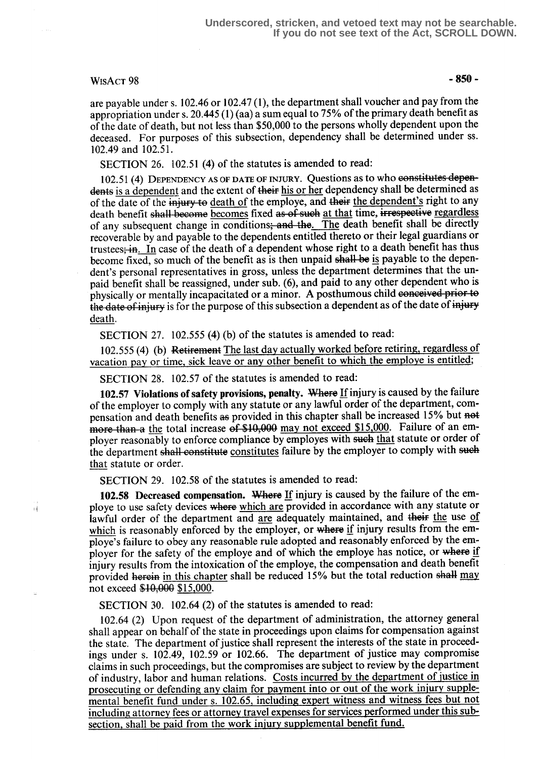### $WisACT 98$  - 850 -

н

are payable under s. 102.46 or 102.47 (1), the department shall voucher and pay from the appropriation under s. 20.445 (1) (aa) a sum equal to 75% of the primary death benefit as of the date of death, but not less than \$50,000 to the persons wholly dependent upon the deceased. For purposes of this subsection, dependency shall be determined under ss. 102.49 and 102.51 .

SECTION 26. 102.51 (4) of the statutes is amended to read:

102.51 (4) DEPENDENCY AS OF DATE OF INJURY. Questions as to who constitutes dependents is a dependent and the extent of their his or her dependency shall be determined as of the date of the injury to death of the employe, and their the dependent's right to any death benefit shall-become becomes fixed as of such at that time, irrespective regardless of any subsequent change in conditions; and the. The death benefit shall be directly recoverable by and payable to the dependents entitled thereto or their legal guardians or trustees; in. In case of the death of a dependent whose right to a death benefit has thus become fixed, so much of the benefit as is then unpaid shall be is payable to the dependent's personal representatives in gross, unless the department determines that the unpaid benefit shall be reassigned, under sub. (6), and paid to any other dependent who is physically or mentally incapacitated or a minor. A posthumous child conceived prior to the date of injury is for the purpose of this subsection a dependent as of the date of injury death.

SECTION 27. 102.555 (4) (b) of the statutes is amended to read:

102.555 (4) (b) Retirement The last day actually worked before retiring, regardless of vacation pay or time, sick leave or any other benefit to which the employe is entitled;

SECTION 28. 102.57 of the statutes is amended to read:

102.57 Violations of safety provisions, penalty. Where If injury is caused by the failure of the employer to comply with any statute or any lawful order of the department, compensation and death benefits as provided in this chapter shall be increased 15% but not more than a the total increase of \$10,000 may not exceed \$15,000. Failure of an employer reasonably to enforce compliance by employes with such that statute or order of the department shall constitute constitutes failure by the employer to comply with such that statute or order.

SECTION 29. 102.58 of the statutes is amended to read:

102.58 Decreased compensation. Where If injury is caused by the failure of the employe to use safety devices where which are provided in accordance with any statute or lawful order of the department and are adequately maintained, and their the use of which is reasonably enforced by the employer, or where if injury results from the employe's failure to obey any reasonable rule adopted and reasonably enforced by the employer for the safety of the employe and of which the employe has notice, or where if injury results from the intoxication of the employe, the compensation and death benefit provided herein in this chapter shall be reduced  $15%$  but the total reduction shall may not exceed \$10,000 \$15,000.

SECTION 30. 102.64 (2) of the statutes is amended to read:

102.64 (2) Upon request of the department of administration, the attorney general shall appear on behalf of the state in proceedings upon claims for compensation against the state. The department of justice shall represent the interests of the state in proceedings under s. 102 .49, 102.59 or 102.66. The department of justice may compromise claims in such proceedings, but the compromises are subject to review by the department of industry, labor and human relations. Costs incurred by the department of justice in prosecuting or defending any claim for payment into or out of the work injury supplemental benefit fund under s. 102.65, including expert witness and witness fees but not including attorney fees or attorney travel expenses for services performed under this subsection, shall be paid from the work injury supplemental benefit fund.